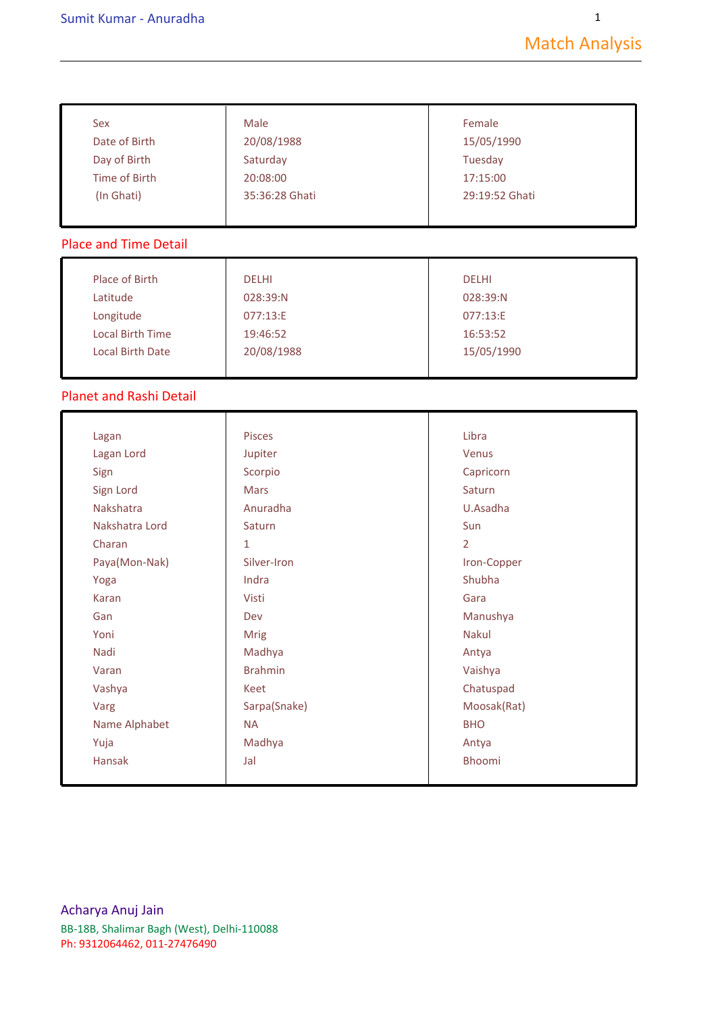1

| Sex                            | Male           | Female         |
|--------------------------------|----------------|----------------|
| Date of Birth                  | 20/08/1988     | 15/05/1990     |
| Day of Birth                   | Saturday       | Tuesday        |
| <b>Time of Birth</b>           | 20:08:00       | 17:15:00       |
| (In Ghati)                     | 35:36:28 Ghati | 29:19:52 Ghati |
| <b>Place and Time Detail</b>   |                |                |
| Place of Birth                 | <b>DELHI</b>   | <b>DELHI</b>   |
| Latitude                       | 028:39:N       | 028:39:N       |
| Longitude                      | 077:13:E       | 077:13:E       |
| <b>Local Birth Time</b>        | 19:46:52       | 16:53:52       |
| <b>Local Birth Date</b>        | 20/08/1988     | 15/05/1990     |
| <b>Planet and Rashi Detail</b> |                |                |
| Lagan                          | Pisces         | Libra          |
| Lagan Lord                     | Jupiter        | Venus          |
| Sign                           | Scorpio        | Capricorn      |
| Sign Lord                      | <b>Mars</b>    | Saturn         |
| Nakshatra                      | Anuradha       | U.Asadha       |
| Nakshatra Lord                 | Saturn         | Sun            |
| Charan                         | $\mathbf{1}$   | $\overline{2}$ |
| Paya(Mon-Nak)                  | Silver-Iron    | Iron-Copper    |
| Yoga                           | Indra          | Shubha         |
| <b>Karan</b>                   | Visti          | Gara           |
| Gan                            | Dev            | Manushya       |
| Yoni                           | Mrig           | <b>Nakul</b>   |
| Nadi                           | Madhya         | Antya          |
| Varan                          | <b>Brahmin</b> | Vaishya        |
| Vashya                         | Keet           | Chatuspad      |
| Varg                           | Sarpa(Snake)   | Moosak(Rat)    |
| Name Alphabet                  | <b>NA</b>      | <b>BHO</b>     |
| Yuja                           | Madhya         | Antya          |
| Hansak                         | Jal            | <b>Bhoomi</b>  |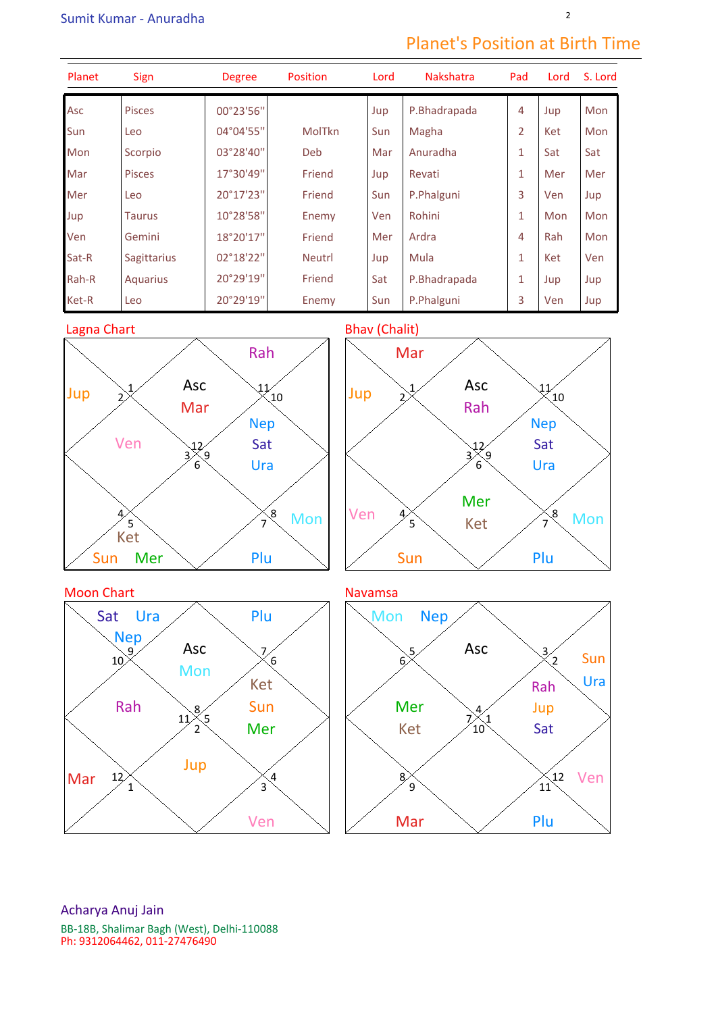## Planet's Position at Birth Time

| Planet | <b>Sign</b>        | <b>Degree</b> | <b>Position</b> | Lord | Nakshatra    | Pad          | Lord | S. Lord    |
|--------|--------------------|---------------|-----------------|------|--------------|--------------|------|------------|
| Asc    | <b>Pisces</b>      | 00°23'56"     |                 | Jup  | P.Bhadrapada | 4            | Jup  | <b>Mon</b> |
| Sun    | Leo                | 04°04'55"     | MolTkn          | Sun  | Magha        | 2            | Ket  | Mon        |
| Mon    | Scorpio            | 03°28'40"     | Deb             | Mar  | Anuradha     | 1            | Sat  | Sat        |
| Mar    | <b>Pisces</b>      | 17°30'49"     | Friend          | Jup  | Revati       | 1            | Mer  | Mer        |
| Mer    | Leo                | 20°17'23"     | Friend          | Sun  | P.Phalguni   | 3            | Ven  | Jup        |
| Jup    | <b>Taurus</b>      | 10°28'58"     | Enemy           | Ven  | Rohini       | $\mathbf{1}$ | Mon  | Mon        |
| Ven    | Gemini             | 18°20'17"     | Friend          | Mer  | Ardra        | 4            | Rah  | Mon        |
| Sat-R  | <b>Sagittarius</b> | 02°18'22"     | <b>Neutrl</b>   | Jup  | Mula         | $\mathbf{1}$ | Ket  | Ven        |
| Rah-R  | Aquarius           | 20°29'19"     | Friend          | Sat  | P.Bhadrapada | 1            | Jup  | Jup        |
| Ket-R  | Leo                | 20°29'19"     | Enemy           | Sun  | P.Phalguni   | 3            | Ven  | Jup        |



Sun Mer

 $\left( 4\right)$ 

Ven  $\mathbf{1}$ 3

Jup

8

 $\hat{2}$ 

11 5

Mar

Rah

12



 $\overline{7}$  $\mathcal{S}_{\mathcal{C}}$ 

10 11

Acharya Anuj Jain BB-18B, Shalimar Bagh (West), Delhi-110088 Ph: 9312064462, 011-27476490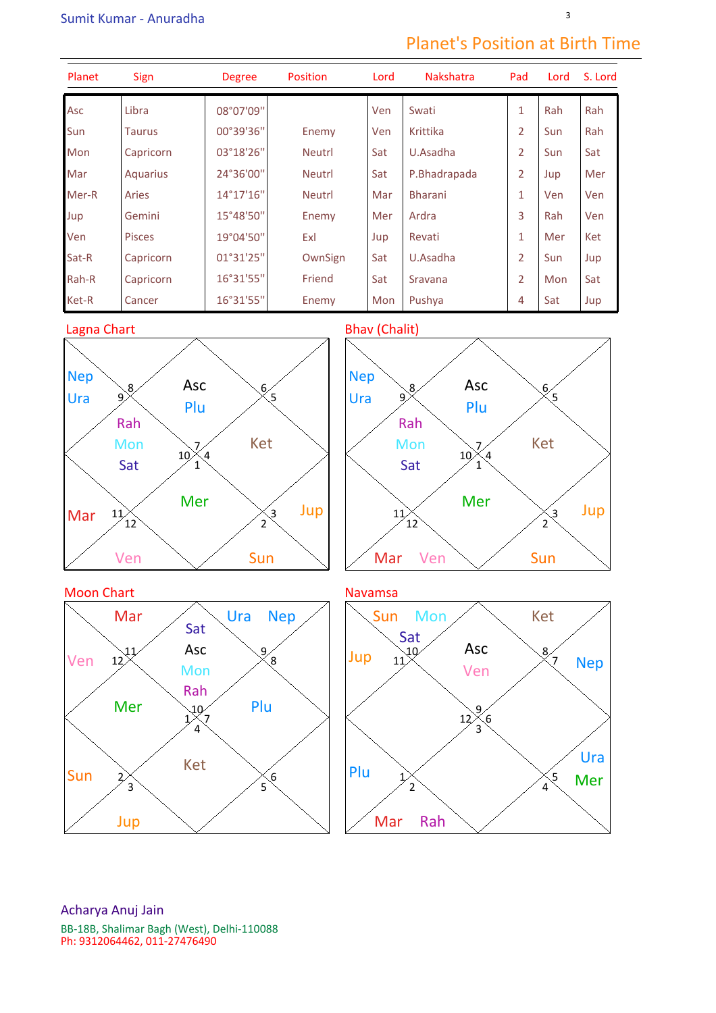## Planet's Position at Birth Time

| Planet | <b>Sign</b>   | <b>Degree</b> | <b>Position</b> | Lord | <b>Nakshatra</b> | Pad            | Lord | S. Lord |
|--------|---------------|---------------|-----------------|------|------------------|----------------|------|---------|
| Asc    | Libra         | 08°07'09"     |                 | Ven  | Swati            | $\mathbf{1}$   | Rah  | Rah     |
| Sun    | <b>Taurus</b> | 00°39'36"     | Enemy           | Ven  | Krittika         | $\overline{2}$ | Sun  | Rah     |
| Mon    | Capricorn     | 03°18'26"     | <b>Neutrl</b>   | Sat  | U.Asadha         | $\overline{2}$ | Sun  | Sat     |
| Mar    | Aquarius      | 24°36'00"     | <b>Neutrl</b>   | Sat  | P.Bhadrapada     | $\overline{2}$ | Jup  | Mer     |
| Mer-R  | Aries         | 14°17'16"     | <b>Neutrl</b>   | Mar  | <b>Bharani</b>   | 1              | Ven  | Ven     |
| Jup    | Gemini        | 15°48'50"     | Enemy           | Mer  | Ardra            | 3              | Rah  | Ven     |
| Ven    | <b>Pisces</b> | 19°04'50"     | Exl             | Jup  | Revati           | 1              | Mer  | Ket     |
| Sat-R  | Capricorn     | 01°31'25"     | OwnSign         | Sat  | U.Asadha         | $\overline{2}$ | Sun  | Jup     |
| Rah-R  | Capricorn     | 16°31'55"     | Friend          | Sat  | Sravana          | $\overline{2}$ | Mon  | Sat     |
| Ket-R  | Cancer        | 16°31'55"     | Enemy           | Mon  | Pushya           | 4              | Sat  | Jup     |





![](_page_2_Figure_6.jpeg)

![](_page_2_Figure_7.jpeg)

![](_page_2_Figure_8.jpeg)

Acharya Anuj Jain BB-18B, Shalimar Bagh (West), Delhi-110088 Ph: 9312064462, 011-27476490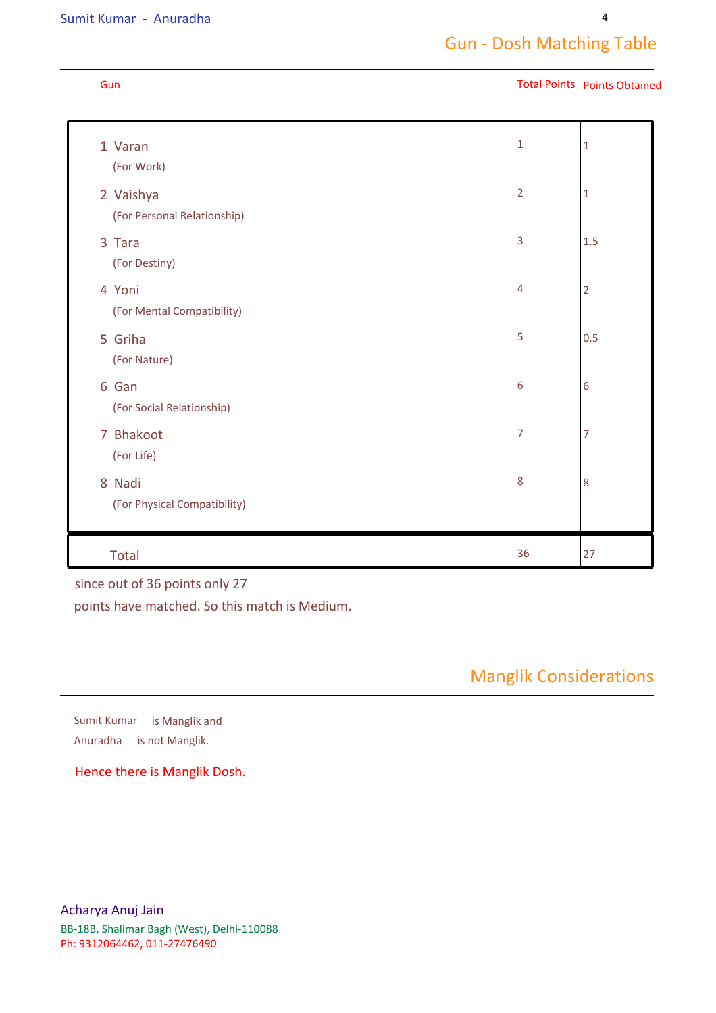### Sumit Kumar - Anuradha

### Gun Total Points Points Obtained

| 1 Varan<br>(For Work)                    | $\mathbf{1}$   | $\mathbf{1}$   |
|------------------------------------------|----------------|----------------|
| 2 Vaishya<br>(For Personal Relationship) | $\overline{2}$ | $\mathbf{1}$   |
| 3 Tara<br>(For Destiny)                  | $\overline{3}$ | 1.5            |
| 4 Yoni<br>(For Mental Compatibility)     | $\overline{4}$ | $\overline{2}$ |
| 5 Griha<br>(For Nature)                  | 5              | 0.5            |
| 6 Gan<br>(For Social Relationship)       | 6              | 6              |
| 7 Bhakoot<br>(For Life)                  | $\overline{7}$ | 7              |
| 8 Nadi<br>(For Physical Compatibility)   | 8              | 8              |
| <b>Total</b>                             | 36             | 27             |

## since out of 36 points only 27

points have matched. So this match is Medium.

Manglik Considerations

Anuradha is not Manglik. Sumit Kumar is Manglik and

Hence there is Manglik Dosh.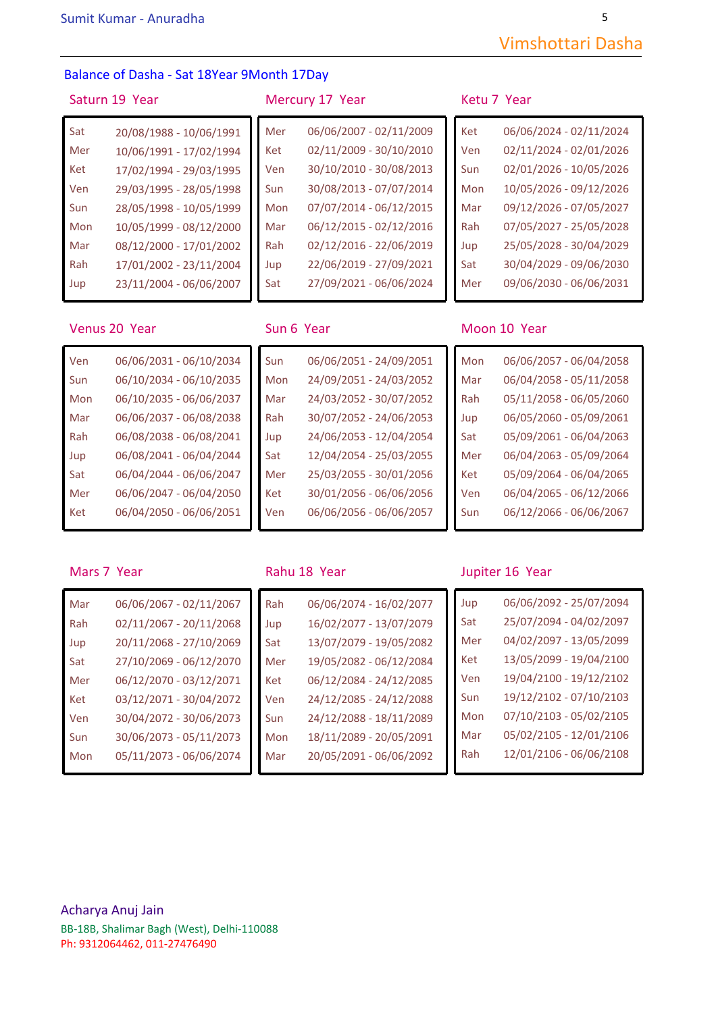## Balance of Dasha - Sat 18Year 9Month 17Day

## Saturn 19 Year Mercury 17 Year Ketu 7 Year

| Sat | 20/08/1988 - 10/06/1991 | Mer | 06/06/2007 - 02/11/2009 | Ket | 06/06/2024 - 02/11/2024 |
|-----|-------------------------|-----|-------------------------|-----|-------------------------|
| Mer | 10/06/1991 - 17/02/1994 | Ket | 02/11/2009 - 30/10/2010 | Ven | 02/11/2024 - 02/01/2026 |
| Ket | 17/02/1994 - 29/03/1995 | Ven | 30/10/2010 - 30/08/2013 | Sun | 02/01/2026 - 10/05/2026 |
| Ven | 29/03/1995 - 28/05/1998 | Sun | 30/08/2013 - 07/07/2014 | Mon | 10/05/2026 - 09/12/2026 |
| Sun | 28/05/1998 - 10/05/1999 | Mon | 07/07/2014 - 06/12/2015 | Mar | 09/12/2026 - 07/05/2027 |
| Mon | 10/05/1999 - 08/12/2000 | Mar | 06/12/2015 - 02/12/2016 | Rah | 07/05/2027 - 25/05/2028 |
| Mar | 08/12/2000 - 17/01/2002 | Rah | 02/12/2016 - 22/06/2019 | Jup | 25/05/2028 - 30/04/2029 |
| Rah | 17/01/2002 - 23/11/2004 | Jup | 22/06/2019 - 27/09/2021 | Sat | 30/04/2029 - 09/06/2030 |
| Jup | 23/11/2004 - 06/06/2007 | Sat | 27/09/2021 - 06/06/2024 | Mer | 09/06/2030 - 06/06/2031 |
|     |                         |     |                         |     |                         |

# Ket 02/11/2009 - 30/10/2010 Ven 30/10/2010 - 30/08/2013 Sun 30/08/2013 - 07/07/2014 Mon 07/07/2014 - 06/12/2015 Mar 06/12/2015 - 02/12/2016 Rah 02/12/2016 - 22/06/2019 Jup 22/06/2019 - 27/09/2021 Sat 27/09/2021 - 06/06/2024

| Sun | 06/06/2051 - 24/09/2051 |
|-----|-------------------------|
| Mon | 24/09/2051 - 24/03/2052 |
| Mar | 24/03/2052 - 30/07/2052 |
| Rah | 30/07/2052 - 24/06/2053 |
| Jup | 24/06/2053 - 12/04/2054 |
| Sat | 12/04/2054 - 25/03/2055 |
| Mer | 25/03/2055 - 30/01/2056 |
| Ket | 30/01/2056 - 06/06/2056 |
| Ven | 06/06/2056 - 06/06/2057 |

| 06/06/2024 - 02/11/2024 |
|-------------------------|
| 02/11/2024 - 02/01/2026 |
| 02/01/2026 - 10/05/2026 |
| 10/05/2026 - 09/12/2026 |
| 09/12/2026 - 07/05/2027 |
| 07/05/2027 - 25/05/2028 |
| 25/05/2028 - 30/04/2029 |
| 30/04/2029 - 09/06/2030 |
| 09/06/2030 - 06/06/2031 |
|                         |

### Venus 20 Year Sun 6 Year Sun 6 Year Moon 10 Year

| Ven | 06/06/2031 - 06/10/2034 | Sun | 06/06/2051 - 24/09/2051 | Mon | 06/06/2057 - 06/04/2058 |
|-----|-------------------------|-----|-------------------------|-----|-------------------------|
| Sun | 06/10/2034 - 06/10/2035 | Mon | 24/09/2051 - 24/03/2052 | Mar | 06/04/2058 - 05/11/2058 |
| Mon | 06/10/2035 - 06/06/2037 | Mar | 24/03/2052 - 30/07/2052 | Rah | 05/11/2058 - 06/05/2060 |
| Mar | 06/06/2037 - 06/08/2038 | Rah | 30/07/2052 - 24/06/2053 | Jup | 06/05/2060 - 05/09/2061 |
| Rah | 06/08/2038 - 06/08/2041 | Jup | 24/06/2053 - 12/04/2054 | Sat | 05/09/2061 - 06/04/2063 |
| Jup | 06/08/2041 - 06/04/2044 | Sat | 12/04/2054 - 25/03/2055 | Mer | 06/04/2063 - 05/09/2064 |
| Sat | 06/04/2044 - 06/06/2047 | Mer | 25/03/2055 - 30/01/2056 | Ket | 05/09/2064 - 06/04/2065 |
| Mer | 06/06/2047 - 06/04/2050 | Ket | 30/01/2056 - 06/06/2056 | Ven | 06/04/2065 - 06/12/2066 |
| Ket | 06/04/2050 - 06/06/2051 | Ven | 06/06/2056 - 06/06/2057 | Sun | 06/12/2066 - 06/06/2067 |
|     |                         |     |                         |     |                         |

| Mar | 06/06/2067 - 02/11/2067 | Rah | 06/06/2074 - 16/02/2077 | Jup |
|-----|-------------------------|-----|-------------------------|-----|
| Rah | 02/11/2067 - 20/11/2068 | Jup | 16/02/2077 - 13/07/2079 | Sat |
| Jup | 20/11/2068 - 27/10/2069 | Sat | 13/07/2079 - 19/05/2082 | Me  |
| Sat | 27/10/2069 - 06/12/2070 | Mer | 19/05/2082 - 06/12/2084 | Ket |
| Mer | 06/12/2070 - 03/12/2071 | Ket | 06/12/2084 - 24/12/2085 | Ver |
| Ket | 03/12/2071 - 30/04/2072 | Ven | 24/12/2085 - 24/12/2088 | Sur |
| Ven | 30/04/2072 - 30/06/2073 | Sun | 24/12/2088 - 18/11/2089 | Mo  |
| Sun | 30/06/2073 - 05/11/2073 | Mon | 18/11/2089 - 20/05/2091 | Ma  |
| Mon | 05/11/2073 - 06/06/2074 | Mar | 20/05/2091 - 06/06/2092 | Rah |
|     |                         |     |                         |     |

| Rah | 06/06/2074 - 16/02/2077 |
|-----|-------------------------|
| Jup | 16/02/2077 - 13/07/2079 |
| Sat | 13/07/2079 - 19/05/2082 |
| Mer | 19/05/2082 - 06/12/2084 |
| Ket | 06/12/2084 - 24/12/2085 |
| Ven | 24/12/2085 - 24/12/2088 |
| Sun | 24/12/2088 - 18/11/2089 |
| Mon | 18/11/2089 - 20/05/2091 |
| Mar | 20/05/2091 - 06/06/2092 |
|     |                         |

### Mars 7 Year **Rahu 18 Year** Jupiter 16 Year

| 06/06/2067 - 02/11/2067 | Rah | 06/06/2074 - 16/02/2077 | Jup | 06/06/2092 - 25/07/2094 |
|-------------------------|-----|-------------------------|-----|-------------------------|
| 02/11/2067 - 20/11/2068 | Jup | 16/02/2077 - 13/07/2079 | Sat | 25/07/2094 - 04/02/2097 |
| 20/11/2068 - 27/10/2069 | Sat | 13/07/2079 - 19/05/2082 | Mer | 04/02/2097 - 13/05/2099 |
| 27/10/2069 - 06/12/2070 | Mer | 19/05/2082 - 06/12/2084 | Ket | 13/05/2099 - 19/04/2100 |
| 06/12/2070 - 03/12/2071 | Ket | 06/12/2084 - 24/12/2085 | Ven | 19/04/2100 - 19/12/2102 |
| 03/12/2071 - 30/04/2072 | Ven | 24/12/2085 - 24/12/2088 | Sun | 19/12/2102 - 07/10/2103 |
| 30/04/2072 - 30/06/2073 | Sun | 24/12/2088 - 18/11/2089 | Mon | 07/10/2103 - 05/02/2105 |
| 30/06/2073 - 05/11/2073 | Mon | 18/11/2089 - 20/05/2091 | Mar | 05/02/2105 - 12/01/2106 |
| 05/11/2073 - 06/06/2074 | Mar | 20/05/2091 - 06/06/2092 | Rah | 12/01/2106 - 06/06/2108 |
|                         |     |                         |     |                         |

Vimshottari Dasha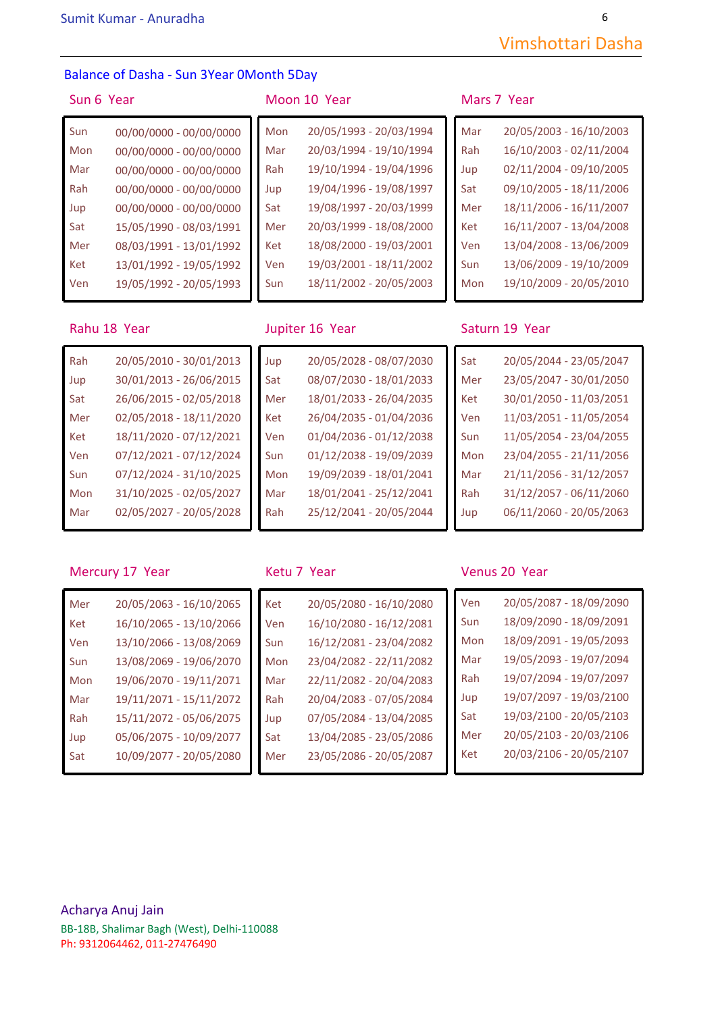6

### Balance of Dasha - Sun 3Year 0Month 5Day

| Sun | 00/00/0000 - 00/00/0000 | Mon | 20/05/1993 - 20/03/1994 | Mar |
|-----|-------------------------|-----|-------------------------|-----|
| Mon | 00/00/0000 - 00/00/0000 | Mar | 20/03/1994 - 19/10/1994 | Rah |
| Mar | 00/00/0000 - 00/00/0000 | Rah | 19/10/1994 - 19/04/1996 | Jup |
| Rah | 00/00/0000 - 00/00/0000 | Jup | 19/04/1996 - 19/08/1997 | Sat |
| Jup | 00/00/0000 - 00/00/0000 | Sat | 19/08/1997 - 20/03/1999 | Mer |
| Sat | 15/05/1990 - 08/03/1991 | Mer | 20/03/1999 - 18/08/2000 | Ket |
| Mer | 08/03/1991 - 13/01/1992 | Ket | 18/08/2000 - 19/03/2001 | Ven |
| Ket | 13/01/1992 - 19/05/1992 | Ven | 19/03/2001 - 18/11/2002 | Sun |
| Ven | 19/05/1992 - 20/05/1993 | Sun | 18/11/2002 - 20/05/2003 | Mor |
|     |                         |     |                         |     |

Rah 20/05/2010 - 30/01/2013

Jup 30/01/2013 - 26/06/2015 Sat 26/06/2015 - 02/05/2018 Mer 02/05/2018 - 18/11/2020 Ket 18/11/2020 - 07/12/2021 Ven 07/12/2021 - 07/12/2024 Sun 07/12/2024 - 31/10/2025 Mon 31/10/2025 - 02/05/2027 Mar 02/05/2027 - 20/05/2028

### Sun 6 Year Moon 10 Year Mars 7 Year

| 00/00/0000 - 00/00/0000 | Mon | 20/05/1993 - 20/03/1994 | Mar | 20/05/2003 - 16/10/2003 |
|-------------------------|-----|-------------------------|-----|-------------------------|
| 00/00/0000 - 00/00/0000 | Mar | 20/03/1994 - 19/10/1994 | Rah | 16/10/2003 - 02/11/2004 |
| 00/00/0000 - 00/00/0000 | Rah | 19/10/1994 - 19/04/1996 | Jup | 02/11/2004 - 09/10/2005 |
| 00/00/0000 - 00/00/0000 | Jup | 19/04/1996 - 19/08/1997 | Sat | 09/10/2005 - 18/11/2006 |
| 00/00/0000 - 00/00/0000 | Sat | 19/08/1997 - 20/03/1999 | Mer | 18/11/2006 - 16/11/2007 |
| 15/05/1990 - 08/03/1991 | Mer | 20/03/1999 - 18/08/2000 | Ket | 16/11/2007 - 13/04/2008 |
| 08/03/1991 - 13/01/1992 | Ket | 18/08/2000 - 19/03/2001 | Ven | 13/04/2008 - 13/06/2009 |
| 13/01/1992 - 19/05/1992 | Ven | 19/03/2001 - 18/11/2002 | Sun | 13/06/2009 - 19/10/2009 |
| 19/05/1992 - 20/05/1993 | Sun | 18/11/2002 - 20/05/2003 | Mon | 19/10/2009 - 20/05/2010 |
|                         |     |                         |     |                         |

Jup 20/05/2028 - 08/07/2030

Sat 08/07/2030 - 18/01/2033 Mer 18/01/2033 - 26/04/2035 Ket 26/04/2035 - 01/04/2036 Ven 01/04/2036 - 01/12/2038 Sun 01/12/2038 - 19/09/2039 Mon 19/09/2039 - 18/01/2041 Mar 18/01/2041 - 25/12/2041 Rah 25/12/2041 - 20/05/2044

| Mar | 20/05/2003 - 16/10/2003 |
|-----|-------------------------|
| Rah | 16/10/2003 - 02/11/2004 |
| Jup | 02/11/2004 - 09/10/2005 |
| Sat | 09/10/2005 - 18/11/2006 |
| Mer | 18/11/2006 - 16/11/2007 |
| Ket | 16/11/2007 - 13/04/2008 |
| Ven | 13/04/2008 - 13/06/2009 |
| Sun | 13/06/2009 - 19/10/2009 |
| Mon | 19/10/2009 - 20/05/2010 |

### Rahu 18 Year **Jupiter 16 Year** Saturn 19 Year

| Sat | 20/05/2044 - 23/05/2047 |
|-----|-------------------------|
| Mer | 23/05/2047 - 30/01/2050 |
| Ket | 30/01/2050 - 11/03/2051 |
| Ven | 11/03/2051 - 11/05/2054 |
| Sun | 11/05/2054 - 23/04/2055 |
| Mon | 23/04/2055 - 21/11/2056 |
| Mar | 21/11/2056 - 31/12/2057 |
| Rah | 31/12/2057 - 06/11/2060 |
| Jup | 06/11/2060 - 20/05/2063 |
|     |                         |

### Mercury 17 Year Ketu 7 Year Venus 20 Year

| Mer | 20/05/2063 - 16/10/2065 | Ket        | 20/05/2080 - 16/10/2080 | Ven |
|-----|-------------------------|------------|-------------------------|-----|
| Ket | 16/10/2065 - 13/10/2066 | Ven        | 16/10/2080 - 16/12/2081 | Sun |
| Ven | 13/10/2066 - 13/08/2069 | <b>Sun</b> | 16/12/2081 - 23/04/2082 | Mor |
| Sun | 13/08/2069 - 19/06/2070 | Mon        | 23/04/2082 - 22/11/2082 | Mar |
| Mon | 19/06/2070 - 19/11/2071 | Mar        | 22/11/2082 - 20/04/2083 | Rah |
| Mar | 19/11/2071 - 15/11/2072 | Rah        | 20/04/2083 - 07/05/2084 | Jup |
| Rah | 15/11/2072 - 05/06/2075 | Jup        | 07/05/2084 - 13/04/2085 | Sat |
| Jup | 05/06/2075 - 10/09/2077 | Sat        | 13/04/2085 - 23/05/2086 | Mer |
| Sat | 10/09/2077 - 20/05/2080 | Mer        | 23/05/2086 - 20/05/2087 | Ket |

| Ket | 20/05/2080 - 16/10/2080 |
|-----|-------------------------|
| Ven | 16/10/2080 - 16/12/2081 |
| Sun | 16/12/2081 - 23/04/2082 |
| Mon | 23/04/2082 - 22/11/2082 |
| Mar | 22/11/2082 - 20/04/2083 |
| Rah | 20/04/2083 - 07/05/2084 |
| Jup | 07/05/2084 - 13/04/2085 |
| Sat | 13/04/2085 - 23/05/2086 |
| Mer | 23/05/2086 - 20/05/2087 |
|     |                         |

| 20/05/2063 - 16/10/2065 | Ket | 20/05/2080 - 16/10/2080 | Ven | 20/05/2087 - 18/09/2090 |
|-------------------------|-----|-------------------------|-----|-------------------------|
| 16/10/2065 - 13/10/2066 | Ven | 16/10/2080 - 16/12/2081 | Sun | 18/09/2090 - 18/09/2091 |
| 13/10/2066 - 13/08/2069 | Sun | 16/12/2081 - 23/04/2082 | Mon | 18/09/2091 - 19/05/2093 |
| 13/08/2069 - 19/06/2070 | Mon | 23/04/2082 - 22/11/2082 | Mar | 19/05/2093 - 19/07/2094 |
| 19/06/2070 - 19/11/2071 | Mar | 22/11/2082 - 20/04/2083 | Rah | 19/07/2094 - 19/07/2097 |
| 19/11/2071 - 15/11/2072 | Rah | 20/04/2083 - 07/05/2084 | Jup | 19/07/2097 - 19/03/2100 |
| 15/11/2072 - 05/06/2075 | Jup | 07/05/2084 - 13/04/2085 | Sat | 19/03/2100 - 20/05/2103 |
| 05/06/2075 - 10/09/2077 | Sat | 13/04/2085 - 23/05/2086 | Mer | 20/05/2103 - 20/03/2106 |
| 10/09/2077 - 20/05/2080 | Mer | 23/05/2086 - 20/05/2087 | Ket | 20/03/2106 - 20/05/2107 |
|                         |     |                         |     |                         |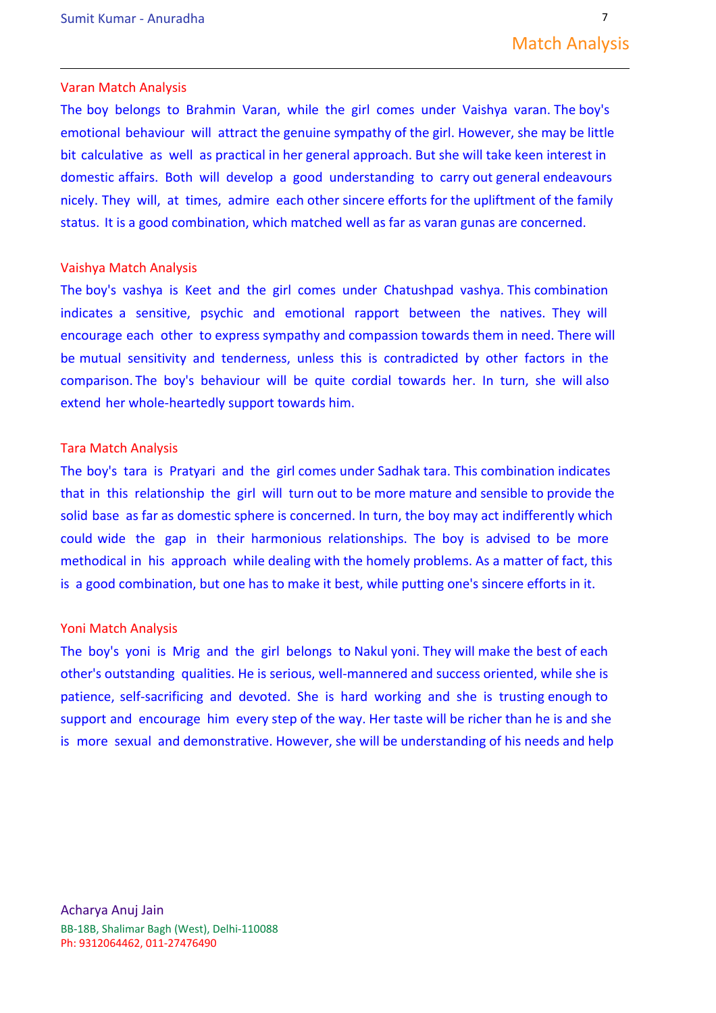### Varan Match Analysis

The boy belongs to Brahmin Varan, while the girl comes under Vaishya varan. The boy's emotional behaviour will attract the genuine sympathy of the girl. However, she may be little bit calculative as well as practical in her general approach. But she will take keen interest in domestic affairs. Both will develop a good understanding to carry out general endeavours nicely. They will, at times, admire each other sincere efforts for the upliftment of the family status. It is a good combination, which matched well as far as varan gunas are concerned.

### Vaishya Match Analysis

The boy's vashya is Keet and the girl comes under Chatushpad vashya. This combination indicates a sensitive, psychic and emotional rapport between the natives. They will encourage each other to express sympathy and compassion towards them in need. There will be mutual sensitivity and tenderness, unless this is contradicted by other factors in the comparison. The boy's behaviour will be quite cordial towards her. In turn, she will also extend her whole-heartedly support towards him.

### Tara Match Analysis

The boy's tara is Pratyari and the girl comes under Sadhak tara. This combination indicates that in this relationship the girl will turn out to be more mature and sensible to provide the solid base as far as domestic sphere is concerned. In turn, the boy may act indifferently which could wide the gap in their harmonious relationships. The boy is advised to be more methodical in his approach while dealing with the homely problems. As a matter of fact, this is a good combination, but one has to make it best, while putting one's sincere efforts in it.

### Yoni Match Analysis

The boy's yoni is Mrig and the girl belongs to Nakul yoni. They will make the best of each other's outstanding qualities. He is serious, well-mannered and success oriented, while she is patience, self-sacrificing and devoted. She is hard working and she is trusting enough to support and encourage him every step of the way. Her taste will be richer than he is and she is more sexual and demonstrative. However, she will be understanding of his needs and help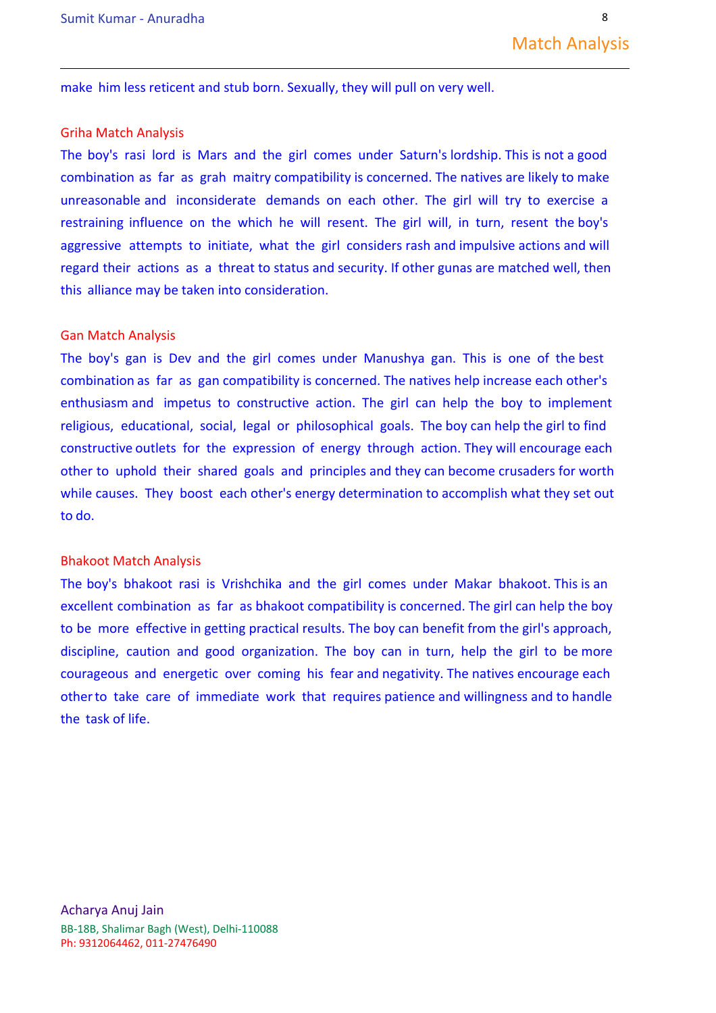make him less reticent and stub born. Sexually, they will pull on very well.

### Griha Match Analysis

The boy's rasi lord is Mars and the girl comes under Saturn's lordship. This is not a good combination as far as grah maitry compatibility is concerned. The natives are likely to make unreasonable and inconsiderate demands on each other. The girl will try to exercise a restraining influence on the which he will resent. The girl will, in turn, resent the boy's aggressive attempts to initiate, what the girl considers rash and impulsive actions and will regard their actions as a threat to status and security. If other gunas are matched well, then this alliance may be taken into consideration.

### Gan Match Analysis

The boy's gan is Dev and the girl comes under Manushya gan. This is one of the best combination as far as gan compatibility is concerned. The natives help increase each other's enthusiasm and impetus to constructive action. The girl can help the boy to implement religious, educational, social, legal or philosophical goals. The boy can help the girl to find constructive outlets for the expression of energy through action. They will encourage each other to uphold their shared goals and principles and they can become crusaders for worth while causes. They boost each other's energy determination to accomplish what they set out to do.

### Bhakoot Match Analysis

The boy's bhakoot rasi is Vrishchika and the girl comes under Makar bhakoot. This is an excellent combination as far as bhakoot compatibility is concerned. The girl can help the boy to be more effective in getting practical results. The boy can benefit from the girl's approach, discipline, caution and good organization. The boy can in turn, help the girl to be more courageous and energetic over coming his fear and negativity. The natives encourage each otherto take care of immediate work that requires patience and willingness and to handle the task of life.